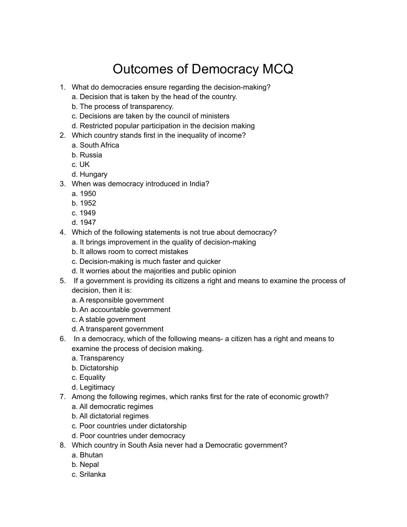## Outcomes of Democracy MCQ

- 1. What do democracies ensure regarding the decision-making?
	- a. Decision that is taken by the head of the country.
	- b. The process of transparency.
	- c. Decisions are taken by the council of ministers
	- d. Restricted popular participation in the decision making
- 2. Which country stands first in the inequality of income?
	- a. South Africa
	- b. Russia
	- c. UK
	- d. Hungary
- 3. When was democracy introduced in India?
	- a. 1950
	- b. 1952
	- c. 1949
	- d. 1947
- 4. Which of the following statements is not true about democracy?
	- a. It brings improvement in the quality of decision-making
	- b. It allows room to correct mistakes
	- c. Decision-making is much faster and quicker
	- d. It worries about the majorities and public opinion
- 5. If a government is providing its citizens a right and means to examine the process of decision, then it is:
	- a. A responsible government
	- b. An accountable government
	- c. A stable government
	- d. A transparent government
- 6. In a democracy, which of the following means- a citizen has a right and means to examine the process of decision making.
	- a. Transparency
	- b. Dictatorship
	- c. Equality
	- d. Legitimacy
- 7. Among the following regimes, which ranks first for the rate of economic growth?
	- a. All democratic regimes
	- b. All dictatorial regimes
	- c. Poor countries under dictatorship
	- d. Poor countries under democracy
- 8. Which country in South Asia never had a Democratic government?
	- a. Bhutan
	- b. Nepal
	- c. Srilanka